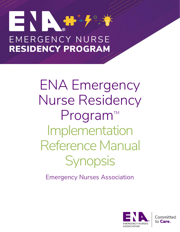# **EMERGENCY NURSE RESIDENCY PROGRAM**

ENA Emergency Nurse Residency Program™ Implementation Reference Manual **Synopsis** 

Emergency Nurses Association

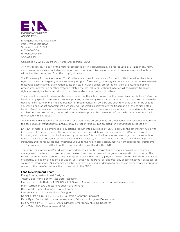

Emergency Nurses Association 930 E. Woodfield Road Schaumburg, IL 60173 847-460-4000 residency@ena.org [www.ena.org](http://www.ena.org/)

#### Copyright © 2021 by Emergency Nurses Association (ENA)

All rights reserved. No part of the material protected by this copyright may be reproduced or utilized in any form, electronic or mechanical, including photocopying, recording, or by any information storage and retrieval system, without written permission from the copyright owner.

The Emergency Nurses Association (ENA) is the sole and exclusive owner of all rights, title, interest, and ancillary rights to the ENA Emergency Nurse Residency Program™ (ENRP™), including, without limitation, all course materials, textbooks, examinations, examination questions, study guides, slides, presentations, translations, rules, policies, procedures, information or other materials related thereto including, without limitation, all copyrights, trademark rights, patent rights, trade secret rights, or other intellectual property rights therein.

The content, statements, views, and opinions herein are the sole expression of the respective contributors. Reference herein to any specific commercial product, process, or service by trade name, trademark, manufacturer, or otherwise does not constitute or imply its endorsement or recommendation by ENA, and such reference shall not be used for advertising or product endorsement purposes. All trademarks displayed are the trademarks of the parties noted herein. *ENA Emergency Nurse Residency Program Implementation Reference Manual* is an independent publication and has not been authorized, sponsored, or otherwise approved by the owners of the trademarks or service marks referenced in this product.

Any images in this guide are for educational and instructive purposes only. Any individuals and scenarios featured in the case studies throughout this product may be real or fictitious but are used for instructional purposes only.

ENA ENRP material is comprised of educational documents developed by ENA to provide the emergency nurse with knowledge of emergency care. The information and recommendations contained in the ENRP reflect current knowledge at the time of publication, are only current as of its publication date, and are subject to change without notice as advances emerge. Additionally, variations in practice, which consider the needs of the individual patient or institution and the resources and limitations unique to the health care setting, may warrant approaches, treatments and/or procedures that differ from the recommendations outlined in the ENRP.

Therefore, the material and/or education provided should not be interpreted as dictating an exclusive course of management, treatment, or care, nor does the use of such recommendations guarantee a particular outcome. The ENRP content is never intended to replace a practitioner's best nursing judgment based on the clinical circumstances of a particular patient or patient population. ENA does not "approve" or "endorse" any specific methods, practices, or sources of information. ENA assumes no liability for any injury and/or damage to persons or property arising out of or related to the use of or reliance the content within the ENRP.

#### **ENA Development Team**

Doug Adams, Instructional Designer Altair Delao, MPH, Senior Associate, Research Monica Escalante Kolbuk, MSN, RN, CEN, Senior Manager, Education Program Development Mark Kardon, MBA, Director Product Management Ken Laredo, Senior Manager Digital Learning Lauren Hamm, MS, Instructional Designer Danielle McCallum, BSN, RN, CEN, Education Content Specialist Katie Ryan, Senior Administrative Assistant, Education Program Development Lisa A. Wolf, PhD, RN, CEN, FAEN, Director Emergency Nursing Research Chris Zahn, PhD, Developmental Editor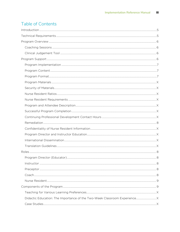# Table of Contents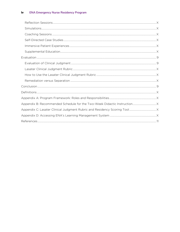#### **ENA Emergency Nurse Residency Program** iv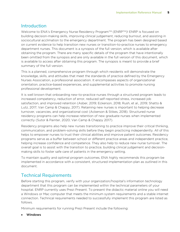# **Introduction**

Welcome to ENA's Emergency Nurse Residency Program™ (ENRP™)! ENRP is focused on building decision-making skills, improving clinical judgement, reducing burnout, and assisting in sociocultural acclimation to the emergency department. The program has been designed based on current evidence to help transition new nurses or transition-to-practice nurses to emergency department nurses. This document is a synopsis of the full version, which is available after obtaining the program. There are many specific details of the program that have intentionally been omitted from the synopsis and are only available in the full version of this document, which is available to access after obtaining this program. The synopsis is meant to provide a brief summary of the full version.

This is a planned, comprehensive program through which residents will demonstrate the knowledge, skills, and attitudes that meet the standards of practice defined by the Emergency Nurses Association, a professional association. It encompasses aspects of organizational orientation, practice-based experiences, and supplemental activities to promote nursing professional development.

It is well known that onboarding new-to-practice nurses through a structured program leads to increased competency, reduction of error, reduced self-reported stress, increased job satisfaction, and improved retention (Asber, 2019; Eckerson, 2018; Rush, et al., 2019; Shatto & Lutz, 2017; Van Camp & Chappy, 2017). Retaining new nurses is important to helping decrease turnover, vacancies, and organizational cost (Ackerson & Stikes, 2018). Structured nurse residency programs can help increase retention of new graduate nurses when implemented correctly (Sutor & Painter, 2020; Van Camp & Chappy 2017).

Residency programs also help new nurses transitioning to practice improve their critical thinking, communication, and problem-solving skills before they begin practicing independently. All of this helps to empower nurses to trust their clinical abilities and improve patient outcomes. Residency programs serve as a buffer between school or different practice areas and independent practice, helping increase confidence and competence. They also help to reduce new nurse turnover. The overall goal is to assist with the transition to practice, building clinical judgement and decisionmaking skills to foster safe care of patients in the emergency setting.

To maintain quality and optimal program outcomes, ENA highly recommends this program be implemented in accordance with a consistent, structured implementation plan as outlined in this document.

# Technical Requirements

Before starting this program, verify with your organization/hospital's information technology department that this program can be implemented within the technical parameters of your hospital. ENRP currently uses Prezi Present. To present the didactic material online you will need a Windows or Mac computer that meets the minimum system requirements and a stable internet connection. Technical requirements needed to successfully implement this program are listed as follows.

Minimum requirements for running Prezi Present include the following:

• Windows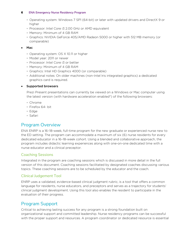## 6 **ENA Emergency Nurse Residency Program**

- Operating system: Windows 7 SP1 (64-bit) or later with updated drivers and DirectX 9 or higher
- Processor: Intel Core i3 2.00 GHz or AMD equivalent
- Memory: Minimum of 4 GB RAM
- Graphics: NVIDIA GeForce 405/AMD Radeon 5000 or higher with 512 MB memory (or comparable)

## • Mac

- Operating system: OS X 10.11 or higher
- Model year: 2011 or newer
- Processor: Intel Core i3 or better
- Memory: Minimum of 4 GB RAM
- Graphics: Intel HD Graphics 4000 (or comparable)
- Additional notes: On older machines (non-Intel Iris integrated graphics) a dedicated graphics card is required.

## • Supported browsers

Prezi Present presentations can currently be viewed on a Windows or Mac computer using the latest version (with hardware acceleration enabled\*) of the following browsers:

- Chrome
- Firefox 64- bit
- Edge
- Safari

# Program Overview

ENA ENRP is a 16–18-week, full-time program for the new graduate or experienced nurse new to the ED setting. The program can accommodate a maximum of six (6) nurse residents for every dedicated educator in a 16–18-week cohort. Using a blended and collaborative approach, the program includes didactic learning experiences along with one-on-one dedicated time with a nurse educator and a clinical preceptor.

## Coaching Sessions

Integrated in the program are coaching sessions which is discussed in more detail in the full version of this document. Coaching sessions facilitated by designated coaches discussing various topics. These coaching sessions are to be scheduled by the educator and the coach.

## Clinical Judgement Tool

ENRP uses a validated, evidence-based clinical judgment rubric, is a tool that offers a common language for residents, nurse educators, and preceptors and serves as a trajectory for students' clinical judgment development. Using this tool also enables the resident to participate in the evaluation of their progress.

# Program Support

Critical to achieving lasting success for any program is a strong foundation built on organizational support and committed leadership. Nurse residency programs can be successful with the proper support and resources. A program coordinator or dedicated resource is essential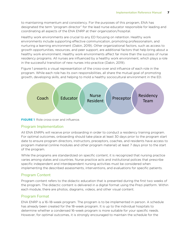to maintaining momentum and consistency. For the purposes of this program, ENA has designated the term "program director" for the lead nurse educator responsible for leading and coordinating all aspects of the ENA ENRP at their organization/hospital.

Healthy work environments are crucial to any ED focusing on retention. Healthy work environments include supporting effective communication, promoting professionalism, and nurturing a learning environment (Dakin, 2019). Other organizational factors, such as access to growth opportunities, resources, and peer support, are additional factors that help bring about a healthy work environment. Healthy work environments affect far more than the success of nurse residency programs. All nurses are influenced by a healthy work environment, which plays a role in the successful transition of new nurses into practice (Dakin, 2019).

Figure 1 presents a visual representation of the cross-over and influence of each role in the program. While each role has its own responsibilities, all share the mutual goal of promoting growth, developing skills, and helping to mold a healthy sociocultural environment in the ED.



**FIGURE 1** Role cross-over and influence.

## Program Implementation

All ENA ENRPs will receive prior onboarding in order to conduct a residency training program. For optimal outcomes, onboarding should take place at least 30 days prior to the program start date to ensure program directors, instructors, preceptors, coaches, and residents have access to program material (online modules and other program material) at least 7 days prior to the start of the program.

While the programs are standardized on specific content, it is recognized that nursing practice varies among states and countries. Nurse practice acts and institutional polices that prescribe specific independent and interdependent nursing activities must be considered when implementing the described assessments, interventions, and evaluations for specific patients.

## Program Content

Program content refers to the didactic education that is presented during the first two weeks of the program. The didactic content is delivered in a digital format using the Prezi platform. Within each module, there are photos, diagrams, videos, and other visual content.

## Program Format

ENA ENRP is a 16–18-week program. The program is to be implemented in person. A schedule has already been created for the 18-week program. It is up to the individual hospitals to determine whether a condensed 16-week program is more suitable for your specific needs. However, for optimal outcomes, it is strongly encouraged to maintain the schedule for the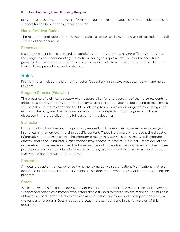### 8 **ENA Emergency Nurse Residency Program**

program as provided. The program format has been developed specifically with evidence-based support for the benefit of the resident nurse.

## Nurse Resident Ratios

The recommended ratios for both the didactic classroom and precepting are discussed in the full version of this document.

## Remediation

If a nurse resident is unsuccessful in completing the program or is having difficulty throughout the program (not understanding the material, failing to improve, and/or is not successful in general), it is the organization or hospital's discretion as to how to rectify the situation through their policies, procedures, and protocols.

## Roles

Program roles include the program director (educator), instructor, preceptor, coach, and nurse resident.

## Program Director (Educator)

The presence of a clinical educator with responsibility for and oversight of the nurse residents is critical to success. The program director serves as a liaison between residents and preceptors as well as between the resident and the ED leadership team, while monitoring and evaluating each resident. The program director is responsible for many aspects of this program which are discussed in more detailed in the full version of this document.

## **Instructor**

During the first two weeks of the program, residents will have a classroom experience, engaging in and learning emergency nursing-specific content. Those individuals who present the didactic information are the instructors. The program director may serve as both the overall program director and as an instructor. Organizations may choose to have multiple instructors deliver the information to the residents over the two-week period. Instructors may represent any healthcare professional and are considered an instructor if they are teaching two or more modules in the two-week didactic stage of the program.

## Preceptor

An ideal preceptor is an experienced emergency nurse with certifications/verifications that are described in more detail in the full version of this document, which is available after obtaining the program.

## Coach

While not responsible for the day-to-day orientation of the resident, a coach is an added layer of support and serves as a mentor who establishes a trusted rapport with the resident. The purpose of having a coach is for the resident to have an outlet or additional layer of support apart from the residency program. Details about the coach role can be found in the full version of this document.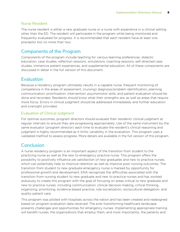## Nurse Resident

The nurse resident is either a new graduate nurse or a nurse with experience in a clinical setting other than the ED. The resident will participate in the program while being monitored and frequently evaluated for progress. It is recommended that each resident have at least one preceptor but no more than two.

# Components of the Program

Components of the program include teaching for various learning preferences, didactic education, case studies, reflection sessions, simulations, coaching sessions, self-directed case studies, immersive patient experiences, and supplemental education. All of these components are discussed in detail in the full version of this document.

# Evaluation

Because a residency program ultimately results in a capable nurse, frequent monitoring of competence in the areas of assessment, (nursing) diagnosis/problem identification, planning, communication, prioritization, intervention, psychomotor skills, and patient evaluation should be done and recorded. Residents should know what their strengths are, as well as areas that require more focus. Errors in clinical judgment should be addressed immediately and further education and oversight provided.

## Evaluation of Clinical Judgment

For optimal outcomes, program directors should evaluate their residents' clinical judgment at regular intervals to ensure they are progressing appropriately. Use of the same instrument by the same evaluator (program director) each time to evaluate the resident's clinical reasoning and judgment is highly recommended as it limits variability in the evaluation. This program uses a validated method to assess progress. More details are available in the full version of this program.

# **Conclusion**

A nurse residency program is an important aspect of the transition from student to the practicing nurse as well as the new to emergency practice nurse. This program offers the possibility to positively influence job satisfaction of new graduates and new to practice nurses, which can potentially help to improve retention as well as improve poor nursing outcomes. The transition from student to new graduate emergency nurse is marked by opportunity for professional growth and development. ENA recognizes the difficulties associated with the transition from nursing student to new graduate and new to practice nurses and has worked arduously to create this program with the goal of focusing on areas critical to new graduate and new to practice nurses, including communication, clinical decision-making, critical thinking, organizing, prioritizing, evidence-based practice, role socialization, sociocultural delegation, and quality patient care.

This program was piloted with hospitals across the nation and has been created and redesigned based on program evaluation data received. The ever-transforming healthcare landscape presents challenges and opportunities for emergency nurses. Implementing appropriate training will benefit nurses, the organizations that employ them, and most importantly, the patients and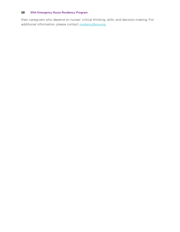## 10 **ENA Emergency Nurse Residency Program**

their caregivers who depend on nurses' critical thinking, skills, and decision-making. For additional information, please contact [residency@ena.org](mailto:residency@ena.org).